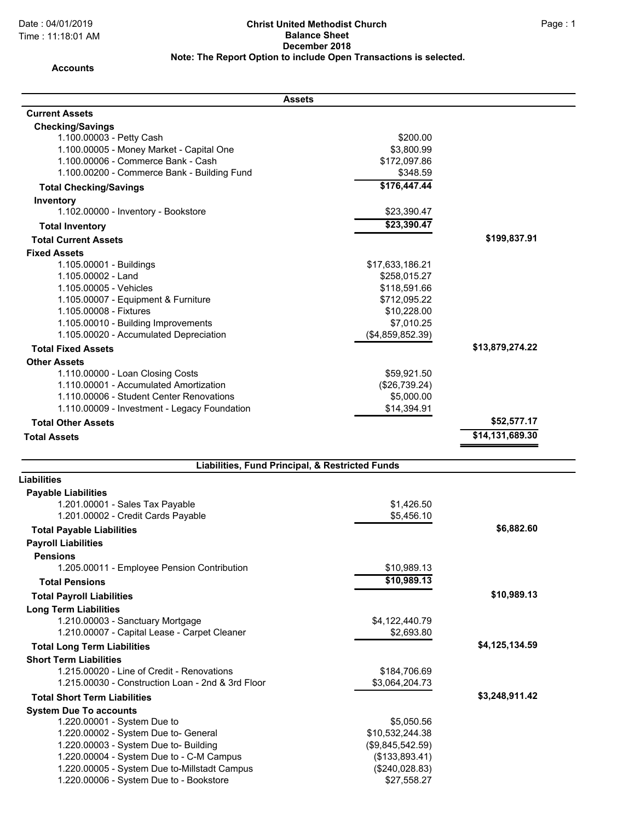## Date : 04/01/2019 Page : 1 **Christ United Methodist Church Balance Sheet December 2018 Note: The Report Option to include Open Transactions is selected.**

## **Accounts**

| Assets                                                                                                                                                                                                                                                                               |                                                                                                                  |                 |
|--------------------------------------------------------------------------------------------------------------------------------------------------------------------------------------------------------------------------------------------------------------------------------------|------------------------------------------------------------------------------------------------------------------|-----------------|
| <b>Current Assets</b>                                                                                                                                                                                                                                                                |                                                                                                                  |                 |
| <b>Checking/Savings</b><br>1.100.00003 - Petty Cash<br>1.100.00005 - Money Market - Capital One<br>1.100.00006 - Commerce Bank - Cash<br>1.100.00200 - Commerce Bank - Building Fund                                                                                                 | \$200.00<br>\$3,800.99<br>\$172,097.86<br>\$348.59                                                               |                 |
| <b>Total Checking/Savings</b>                                                                                                                                                                                                                                                        | \$176,447.44                                                                                                     |                 |
| Inventory                                                                                                                                                                                                                                                                            |                                                                                                                  |                 |
| 1.102.00000 - Inventory - Bookstore                                                                                                                                                                                                                                                  | \$23,390.47                                                                                                      |                 |
| <b>Total Inventory</b>                                                                                                                                                                                                                                                               | \$23,390.47                                                                                                      |                 |
| <b>Total Current Assets</b>                                                                                                                                                                                                                                                          |                                                                                                                  | \$199,837.91    |
| <b>Fixed Assets</b>                                                                                                                                                                                                                                                                  |                                                                                                                  |                 |
| 1.105.00001 - Buildings<br>1.105.00002 - Land<br>1.105.00005 - Vehicles<br>1.105.00007 - Equipment & Furniture<br>1.105.00008 - Fixtures<br>1.105.00010 - Building Improvements<br>1.105.00020 - Accumulated Depreciation                                                            | \$17,633,186.21<br>\$258,015.27<br>\$118,591.66<br>\$712,095.22<br>\$10,228.00<br>\$7,010.25<br>(\$4,859,852.39) |                 |
| <b>Total Fixed Assets</b>                                                                                                                                                                                                                                                            |                                                                                                                  | \$13,879,274.22 |
| <b>Other Assets</b><br>1.110.00000 - Loan Closing Costs<br>1.110.00001 - Accumulated Amortization<br>1.110.00006 - Student Center Renovations<br>1.110.00009 - Investment - Legacy Foundation<br><b>Total Other Assets</b>                                                           | \$59,921.50<br>(\$26,739.24)<br>\$5,000.00<br>\$14,394.91                                                        | \$52,577.17     |
| <b>Total Assets</b>                                                                                                                                                                                                                                                                  |                                                                                                                  | \$14,131,689.30 |
|                                                                                                                                                                                                                                                                                      |                                                                                                                  |                 |
| Liabilities, Fund Principal, & Restricted Funds                                                                                                                                                                                                                                      |                                                                                                                  |                 |
| <b>Liabilities</b>                                                                                                                                                                                                                                                                   |                                                                                                                  |                 |
| <b>Payable Liabilities</b><br>1.201.00001 - Sales Tax Payable<br>1.201.00002 - Credit Cards Payable                                                                                                                                                                                  | \$1,426.50<br>\$5,456.10                                                                                         |                 |
| <b>Total Payable Liabilities</b>                                                                                                                                                                                                                                                     |                                                                                                                  | \$6,882.60      |
| <b>Payroll Liabilities</b><br><b>Pensions</b><br>1.205.00011 - Employee Pension Contribution                                                                                                                                                                                         | \$10,989.13                                                                                                      |                 |
| <b>Total Pensions</b>                                                                                                                                                                                                                                                                | \$10,989.13                                                                                                      |                 |
| <b>Total Payroll Liabilities</b>                                                                                                                                                                                                                                                     |                                                                                                                  | \$10,989.13     |
| <b>Long Term Liabilities</b><br>1.210.00003 - Sanctuary Mortgage<br>1.210.00007 - Capital Lease - Carpet Cleaner                                                                                                                                                                     | \$4,122,440.79<br>\$2,693.80                                                                                     |                 |
| <b>Total Long Term Liabilities</b>                                                                                                                                                                                                                                                   |                                                                                                                  | \$4,125,134.59  |
| <b>Short Term Liabilities</b><br>1.215.00020 - Line of Credit - Renovations<br>1.215.00030 - Construction Loan - 2nd & 3rd Floor                                                                                                                                                     | \$184,706.69<br>\$3,064,204.73                                                                                   |                 |
| <b>Total Short Term Liabilities</b>                                                                                                                                                                                                                                                  |                                                                                                                  | \$3,248,911.42  |
| <b>System Due To accounts</b><br>1.220.00001 - System Due to<br>1.220.00002 - System Due to- General<br>1.220.00003 - System Due to- Building<br>1.220.00004 - System Due to - C-M Campus<br>1.220.00005 - System Due to-Millstadt Campus<br>1.220.00006 - System Due to - Bookstore | \$5,050.56<br>\$10,532,244.38<br>(\$9,845,542.59)<br>(\$133,893.41)<br>(\$240,028.83)<br>\$27,558.27             |                 |